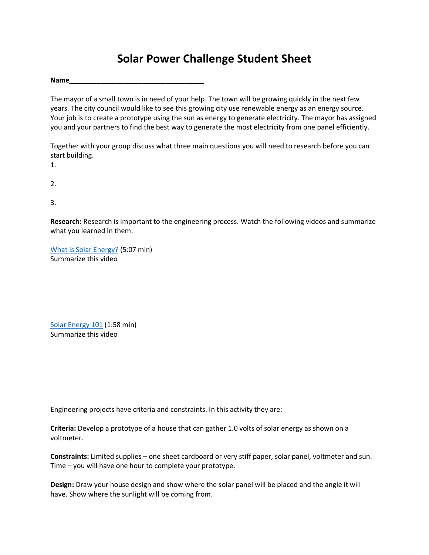## **Solar Power Challenge Student Sheet**

**Name\_\_\_\_\_\_\_\_\_\_\_\_\_\_\_\_\_\_\_\_\_\_\_\_\_\_\_\_\_\_\_\_\_\_\_**

The mayor of a small town is in need of your help. The town will be growing quickly in the next few years. The city council would like to see this growing city use renewable energy as an energy source. Your job is to create a prototype using the sun as energy to generate electricity. The mayor has assigned you and your partners to find the best way to generate the most electricity from one panel efficiently.

Together with your group discuss what three main questions you will need to research before you can start building.

1.

2.

3.

**Research:** Research is important to the engineering process. Watch the following videos and summarize what you learned in them.

What is Solar Energy? (5:07 min) Summarize this video

Solar Energy 101 (1:58 min) Summarize this video

Engineering projects have criteria and constraints. In this activity they are:

**Criteria:** Develop a prototype of a house that can gather 1.0 volts of solar energy as shown on a voltmeter.

**Constraints:** Limited supplies – one sheet cardboard or very stiff paper, solar panel, voltmeter and sun. Time – you will have one hour to complete your prototype.

**Design:** Draw your house design and show where the solar panel will be placed and the angle it will have. Show where the sunlight will be coming from.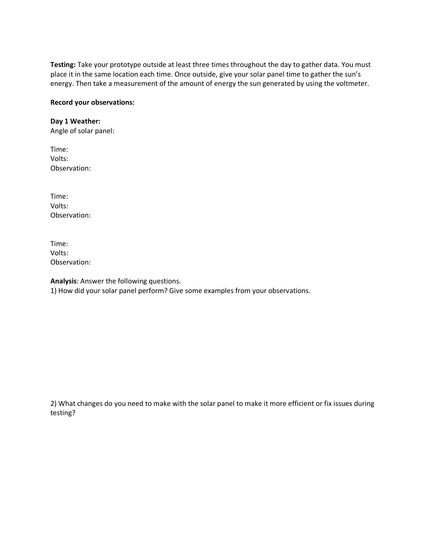**Testing:** Take your prototype outside at least three times throughout the day to gather data. You must place it in the same location each time. Once outside, give your solar panel time to gather the sun's energy. Then take a measurement of the amount of energy the sun generated by using the voltmeter.

## **Record your observations:**

## **Day 1 Weather:**

Angle of solar panel:

Time: Volts: Observation:

Time: Volts: Observation:

Time: Volts: Observation:

**Analysis**: Answer the following questions. 1) How did your solar panel perform? Give some examples from your observations.

2) What changes do you need to make with the solar panel to make it more efficient or fix issues during testing?